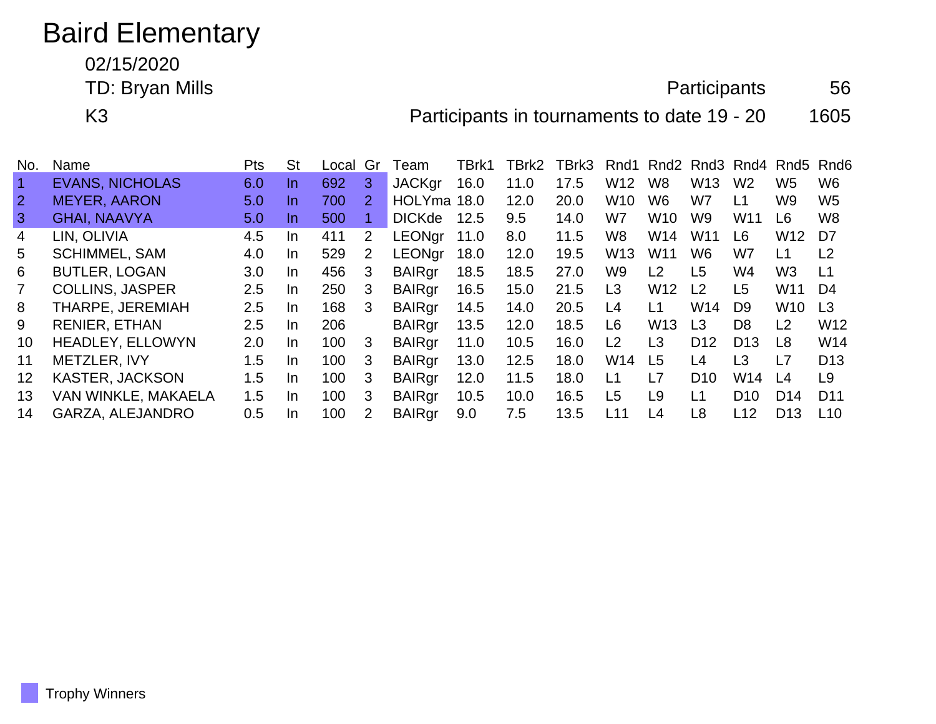## Baird Elementary

02/15/2020

TD: Bryan Mills 66

K3 **Participants in tournaments to date 19 - 20** 1605

| No.            | Name                    | <b>Pts</b>       | St  | Local | Gr            | <b>leam</b>   | TBrk1 | TBrk2 | TBrk3 |                  |                 |                 |                 | Rnd1 Rnd2 Rnd3 Rnd4 Rnd5 Rnd6 |                 |
|----------------|-------------------------|------------------|-----|-------|---------------|---------------|-------|-------|-------|------------------|-----------------|-----------------|-----------------|-------------------------------|-----------------|
| $\overline{1}$ | <b>EVANS, NICHOLAS</b>  | 6.0              | In. | 692   | 3             | <b>JACKgr</b> | 16.0  | 11.0  | 17.5  | W <sub>12</sub>  | W8              | W <sub>13</sub> | W <sub>2</sub>  | W5                            | W <sub>6</sub>  |
| $\overline{2}$ | <b>MEYER, AARON</b>     | 5.0              | In. | 700   | 2             | HOLYma 18.0   |       | 12.0  | 20.0  | W <sub>10</sub>  | W <sub>6</sub>  | W7              | L1              | W9                            | W <sub>5</sub>  |
| $\mathbf{3}$   | <b>GHAI, NAAVYA</b>     | 5.0              | In. | 500   |               | <b>DICKde</b> | 12.5  | 9.5   | 14.0  | W7               | W <sub>10</sub> | W9              | W <sub>11</sub> | L6                            | W <sub>8</sub>  |
| $\overline{4}$ | LIN, OLIVIA             | 4.5              | In. | 411   | 2             | <b>LEONgr</b> | 11.0  | 8.0   | 11.5  | W8               | W14             | W <sub>11</sub> | L6              | W12                           | D7              |
| 5              | <b>SCHIMMEL, SAM</b>    | 4.0              | In. | 529   | 2             | <b>LEONar</b> | 18.0  | 12.0  | 19.5  | W <sub>13</sub>  | W <sub>11</sub> | W <sub>6</sub>  | W7              | L1                            | L <sub>2</sub>  |
| 6              | <b>BUTLER, LOGAN</b>    | 3.0 <sub>2</sub> | In. | 456   | 3             | <b>BAIRgr</b> | 18.5  | 18.5  | 27.0  | W <sub>9</sub>   | L <sub>2</sub>  | L <sub>5</sub>  | W4              | W <sub>3</sub>                | L1              |
|                | <b>COLLINS, JASPER</b>  | 2.5              | In. | 250   | 3             | <b>BAIRgr</b> | 16.5  | 15.0  | 21.5  | L <sub>3</sub>   | W <sub>12</sub> | L2              | L5              | W <sub>11</sub>               | D4              |
| 8              | THARPE, JEREMIAH        | 2.5              | In. | 168   | 3             | <b>BAIRgr</b> | 14.5  | 14.0  | 20.5  | L4               | L <sub>1</sub>  | W <sub>14</sub> | D <sub>9</sub>  | W <sub>10</sub>               | $\mathsf{L}3$   |
| 9              | <b>RENIER, ETHAN</b>    | $2.5\,$          | In. | 206   |               | <b>BAIRgr</b> | 13.5  | 12.0  | 18.5  | L6               | W <sub>13</sub> | L <sub>3</sub>  | D <sub>8</sub>  | L2                            | W <sub>12</sub> |
| 10             | <b>HEADLEY, ELLOWYN</b> | 2.0              | In. | 100   | 3             | <b>BAIRgr</b> | 11.0  | 10.5  | 16.0  | L2               | L3              | D <sub>12</sub> | D <sub>13</sub> | L8                            | W14             |
| 11             | METZLER, IVY            | 1.5              | In. | 100   | 3             | <b>BAIRgr</b> | 13.0  | 12.5  | 18.0  | W14              | L <sub>5</sub>  | L <sub>4</sub>  | L3              | L7                            | D <sub>13</sub> |
| 12             | <b>KASTER, JACKSON</b>  | 1.5              | In. | 100   | 3             | <b>BAIRgr</b> | 12.0  | 11.5  | 18.0  | $\overline{1}$ 1 | L7              | D <sub>10</sub> | W14             | L <sub>4</sub>                | L <sub>9</sub>  |
| 13             | VAN WINKLE, MAKAELA     | 1.5              | In. | 100   | 3             | <b>BAIRgr</b> | 10.5  | 10.0  | 16.5  | L5               | L <sub>9</sub>  | L1              | D <sub>10</sub> | D <sub>14</sub>               | D <sub>11</sub> |
| 14             | GARZA, ALEJANDRO        | 0.5              | In. | 100   | $\mathcal{P}$ | <b>BAIRgr</b> | 9.0   | 7.5   | 13.5  | L11              | L <sub>4</sub>  | L <sub>8</sub>  | L12             | D <sub>13</sub>               | L10             |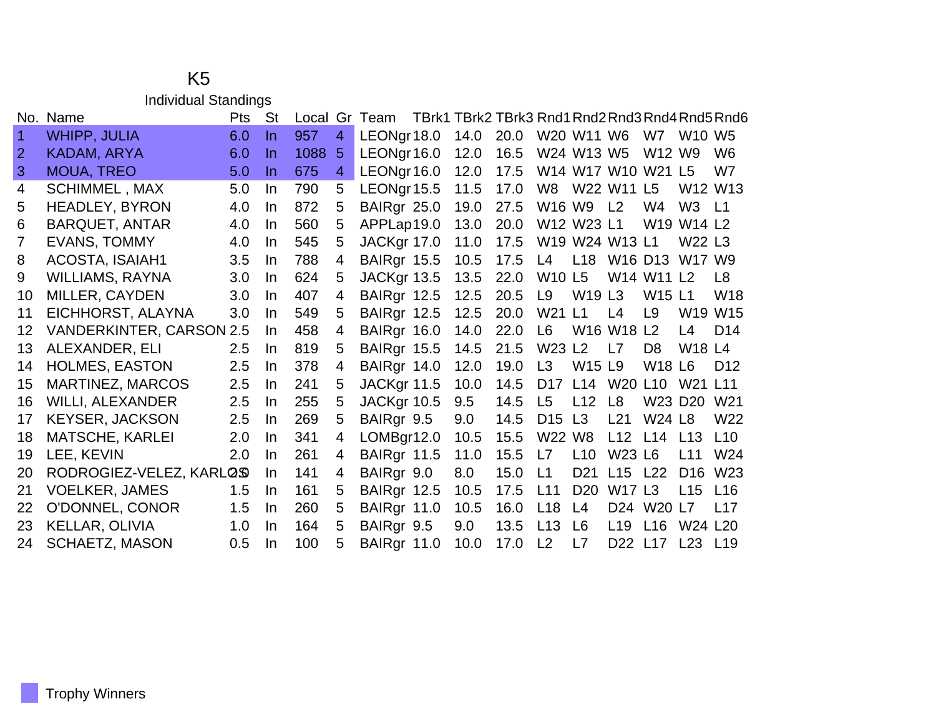## K5 Individual Standings

|                | No. Name                        | Pts | <b>St</b> | Local |                | Gr Team     | TBrk1 TBrk2 TBrk3 Rnd1 Rnd2 Rnd3 Rnd4 Rnd5 Rnd6 |      |                                |                                |                 |                |                                                |                                 |
|----------------|---------------------------------|-----|-----------|-------|----------------|-------------|-------------------------------------------------|------|--------------------------------|--------------------------------|-----------------|----------------|------------------------------------------------|---------------------------------|
| 1.             | <b>WHIPP, JULIA</b>             | 6.0 | In.       | 957   | 4              | LEONgr 18.0 | 14.0                                            | 20.0 |                                | W20 W11 W6                     |                 | W7             | <b>W10 W5</b>                                  |                                 |
| $\overline{2}$ | KADAM, ARYA                     | 6.0 | In.       | 1088  | 5              | LEONgr 16.0 | 12.0                                            | 16.5 |                                | W24 W13 W5                     |                 | W12 W9         |                                                | W <sub>6</sub>                  |
| 3              | <b>MOUA, TREO</b>               | 5.0 | In.       | 675   | $\overline{4}$ | LEONgr 16.0 | 12.0                                            | 17.5 |                                | W14 W17 W10 W21 L5             |                 |                |                                                | W7                              |
| 4              | <b>SCHIMMEL, MAX</b>            | 5.0 | In.       | 790   | 5              | LEONgr 15.5 | 11.5                                            | 17.0 |                                | W8 W22 W11 L5                  |                 |                |                                                | W <sub>12</sub> W <sub>13</sub> |
| 5              | <b>HEADLEY, BYRON</b>           | 4.0 | In.       | 872   | 5              | BAIRgr 25.0 | 19.0                                            | 27.5 | W16 W9                         |                                | L <sub>2</sub>  | W4             | W <sub>3</sub>                                 | L1                              |
| 6              | <b>BARQUET, ANTAR</b>           | 4.0 | In.       | 560   | 5              | APPLap19.0  | 13.0                                            | 20.0 |                                | W12 W23 L1                     |                 |                | W <sub>19</sub> W <sub>14</sub> L <sub>2</sub> |                                 |
| $\overline{7}$ | EVANS, TOMMY                    | 4.0 | In        | 545   | 5              | JACKgr 17.0 | 11.0                                            | 17.5 |                                | W19 W24 W13 L1                 |                 |                | W22 L3                                         |                                 |
| 8              | <b>ACOSTA, ISAIAH1</b>          | 3.5 | In        | 788   | 4              | BAIRgr 15.5 | 10.5                                            | 17.5 | L4                             | L18 W16 D13                    |                 |                | W17 W9                                         |                                 |
| 9              | <b>WILLIAMS, RAYNA</b>          | 3.0 | In.       | 624   | 5              | JACKgr 13.5 | 13.5                                            | 22.0 | <b>W10 L5</b>                  |                                |                 | W14 W11 L2     |                                                | L8                              |
| 10             | MILLER, CAYDEN                  | 3.0 | In.       | 407   | 4              | BAIRgr 12.5 | 12.5                                            | 20.5 | L9                             | W <sub>19</sub> L <sub>3</sub> |                 | <b>W15 L1</b>  |                                                | W <sub>18</sub>                 |
| 11             | EICHHORST, ALAYNA               | 3.0 | In.       | 549   | 5              | BAIRgr 12.5 | 12.5                                            | 20.0 | W21                            | L1                             | L4              | L9             |                                                | W19 W15                         |
| 12             | <b>VANDERKINTER, CARSON 2.5</b> |     | In.       | 458   | 4              | BAIRgr 16.0 | 14.0                                            | 22.0 | L6                             | W16 W18 L2                     |                 |                | L4                                             | D <sub>14</sub>                 |
| 13             | ALEXANDER, ELI                  | 2.5 | In.       | 819   | 5              | BAIRgr 15.5 | 14.5                                            | 21.5 | W23 L2                         |                                | L7              | D <sub>8</sub> | <b>W18 L4</b>                                  |                                 |
| 14             | <b>HOLMES, EASTON</b>           | 2.5 | In        | 378   | 4              | BAIRgr 14.0 | 12.0                                            | 19.0 | L3                             | <b>W15 L9</b>                  |                 | <b>W18 L6</b>  |                                                | D <sub>12</sub>                 |
| 15             | <b>MARTINEZ, MARCOS</b>         | 2.5 | In.       | 241   | 5              | JACKgr 11.5 | 10.0                                            | 14.5 | D <sub>17</sub>                | L14 W20 L10                    |                 |                | W21 L11                                        |                                 |
| 16             | <b>WILLI, ALEXANDER</b>         | 2.5 | In        | 255   | 5              | JACKgr 10.5 | 9.5                                             | 14.5 | L <sub>5</sub>                 | L12                            | L <sub>8</sub>  | W23 D20        |                                                | W <sub>21</sub>                 |
| 17             | <b>KEYSER, JACKSON</b>          | 2.5 | In.       | 269   | 5              | BAIRgr 9.5  | 9.0                                             | 14.5 | D <sub>15</sub> L <sub>3</sub> |                                | L21             | <b>W24 L8</b>  |                                                | W22                             |
| 18             | <b>MATSCHE, KARLEI</b>          | 2.0 | In        | 341   | 4              | LOMBgr12.0  | 10.5                                            | 15.5 | W22 W8                         |                                |                 | L12 L14 L13    |                                                | L10                             |
| 19             | LEE, KEVIN                      | 2.0 | In.       | 261   | 4              | BAIRgr 11.5 | 11.0                                            | 15.5 | L7                             | L10                            | <b>W23 L6</b>   |                | L11                                            | W <sub>24</sub>                 |
| 20             | RODROGIEZ-VELEZ, KARLOS         |     | In        | 141   | 4              | BAIRgr 9.0  | 8.0                                             | 15.0 | L1                             | D <sub>21</sub>                | L15 L22         |                | D <sub>16</sub>                                | W <sub>23</sub>                 |
| 21             | <b>VOELKER, JAMES</b>           | 1.5 | In        | 161   | 5              | BAIRgr 12.5 | 10.5                                            | 17.5 | L11                            | D <sub>20</sub>                | <b>W17 L3</b>   |                | L15                                            | L16                             |
| 22             | O'DONNEL, CONOR                 | 1.5 | In        | 260   | 5              | BAIRgr 11.0 | 10.5                                            | 16.0 | L18                            | L4                             |                 | D24 W20 L7     |                                                | L17                             |
| 23             | KELLAR, OLIVIA                  | 1.0 | In.       | 164   | 5              | BAIRgr 9.5  | 9.0                                             | 13.5 | L13                            | L6                             | L <sub>19</sub> | L16            | W24 L20                                        |                                 |
| 24             | <b>SCHAETZ, MASON</b>           | 0.5 | In.       | 100   | 5              | BAIRgr 11.0 | 10.0                                            | 17.0 | L2                             | L7                             | D22 L17         |                | L <sub>23</sub> L <sub>19</sub>                |                                 |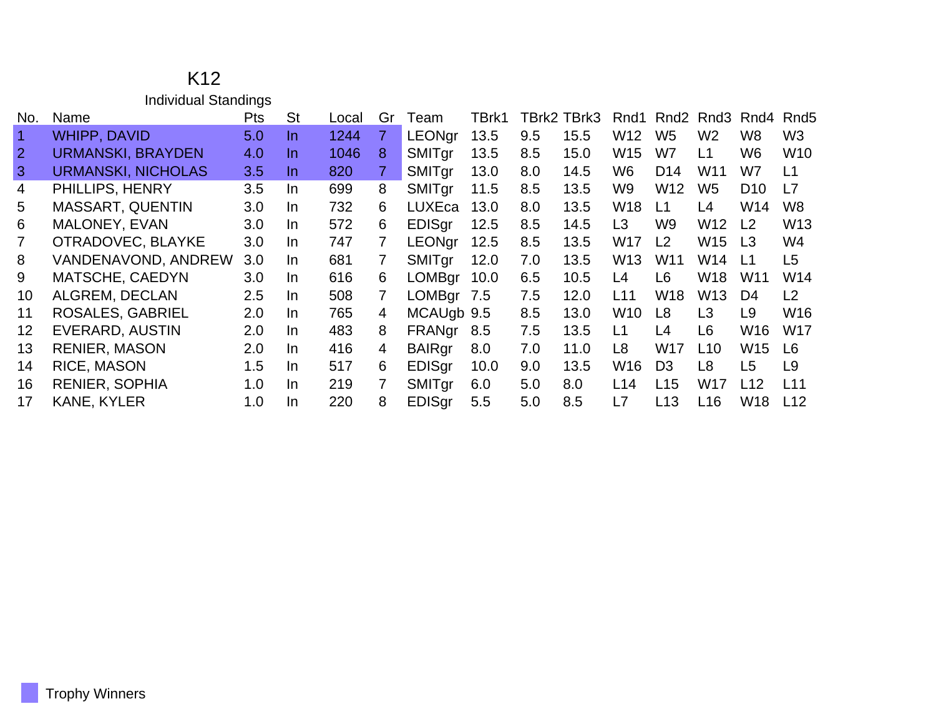|                         | K <sub>12</sub>             |            |           |       |                |               |       |     |             |                 |                  |                |                 |                  |
|-------------------------|-----------------------------|------------|-----------|-------|----------------|---------------|-------|-----|-------------|-----------------|------------------|----------------|-----------------|------------------|
|                         | <b>Individual Standings</b> |            |           |       |                |               |       |     |             |                 |                  |                |                 |                  |
| No.                     | Name                        | <b>Pts</b> | <b>St</b> | Local | Gr             | Team          | TBrk1 |     | TBrk2 TBrk3 | Rnd1            | Rnd <sub>2</sub> | Rnd3           | Rnd4            | Rnd <sub>5</sub> |
| $\overline{\mathbf{1}}$ | WHIPP, DAVID                | 5.0        | In.       | 1244  | $\overline{7}$ | <b>LEONgr</b> | 13.5  | 9.5 | 15.5        | W12             | W <sub>5</sub>   | W <sub>2</sub> | W8              | W <sub>3</sub>   |
| $\overline{2}$          | <b>URMANSKI, BRAYDEN</b>    | 4.0        | In        | 1046  | 8              | SMITgr        | 13.5  | 8.5 | 15.0        | W15             | W7               | L1             | W6              | W10              |
| 3                       | <b>URMANSKI, NICHOLAS</b>   | 3.5        | In.       | 820   | $\overline{7}$ | SMITgr        | 13.0  | 8.0 | 14.5        | W6              | D <sub>14</sub>  | W11            | W7              | L1               |
| 4                       | PHILLIPS, HENRY             | 3.5        | In.       | 699   | 8              | SMITgr        | 11.5  | 8.5 | 13.5        | W9              | W12              | W <sub>5</sub> | D <sub>10</sub> | L7               |
| 5                       | MASSART, QUENTIN            | 3.0        | In.       | 732   | 6              | <b>LUXEca</b> | 13.0  | 8.0 | 13.5        | W18             | L1               | L4             | W14             | W <sub>8</sub>   |
| 6                       | MALONEY, EVAN               | 3.0        | In.       | 572   | 6              | <b>EDISgr</b> | 12.5  | 8.5 | 14.5        | L <sub>3</sub>  | W9               | W12            | L <sub>2</sub>  | W13              |
| $\overline{7}$          | OTRADOVEC, BLAYKE           | 3.0        | In.       | 747   | 7              | <b>LEONgr</b> | 12.5  | 8.5 | 13.5        | W17             | L2               | W15            | L <sub>3</sub>  | W4               |
| 8                       | <b>VANDENAVOND, ANDREW</b>  | 3.0        | In.       | 681   | 7              | SMITgr        | 12.0  | 7.0 | 13.5        | W13             | W <sub>11</sub>  | W14            | L1              | L <sub>5</sub>   |
| 9                       | <b>MATSCHE, CAEDYN</b>      | 3.0        | In.       | 616   | 6              | <b>LOMBgr</b> | 10.0  | 6.5 | 10.5        | L4              | L <sub>6</sub>   | W18            | W11             | W14              |
| 10                      | ALGREM, DECLAN              | 2.5        | In.       | 508   | 7              | LOMBgr 7.5    |       | 7.5 | 12.0        | L11             | W18              | W13            | D4              | L2               |
| 11                      | ROSALES, GABRIEL            | 2.0        | In.       | 765   | 4              | MCAUgb 9.5    |       | 8.5 | 13.0        | W <sub>10</sub> | L <sub>8</sub>   | L3             | L <sub>9</sub>  | W <sub>16</sub>  |
| 12                      | EVERARD, AUSTIN             | 2.0        | In.       | 483   | 8              | FRANgr        | 8.5   | 7.5 | 13.5        | L1              | L4               | L <sub>6</sub> | W16             | <b>W17</b>       |
| 13                      | <b>RENIER, MASON</b>        | 2.0        | In.       | 416   | 4              | <b>BAIRgr</b> | 8.0   | 7.0 | 11.0        | L <sub>8</sub>  | W17              | L10            | W15             | L <sub>6</sub>   |
| 14                      | RICE, MASON                 | 1.5        | In.       | 517   | 6              | EDISgr        | 10.0  | 9.0 | 13.5        | W16             | D <sub>3</sub>   | L <sub>8</sub> | L <sub>5</sub>  | L9               |
| 16                      | <b>RENIER, SOPHIA</b>       | 1.0        | In.       | 219   | 7              | SMITgr        | 6.0   | 5.0 | 8.0         | L14             | L15              | W17            | L12             | L11              |
| 17                      | <b>KANE, KYLER</b>          | 1.0        | In.       | 220   | 8              | <b>EDISgr</b> | 5.5   | 5.0 | 8.5         | L7              | L13              | L16            | W18             | L12              |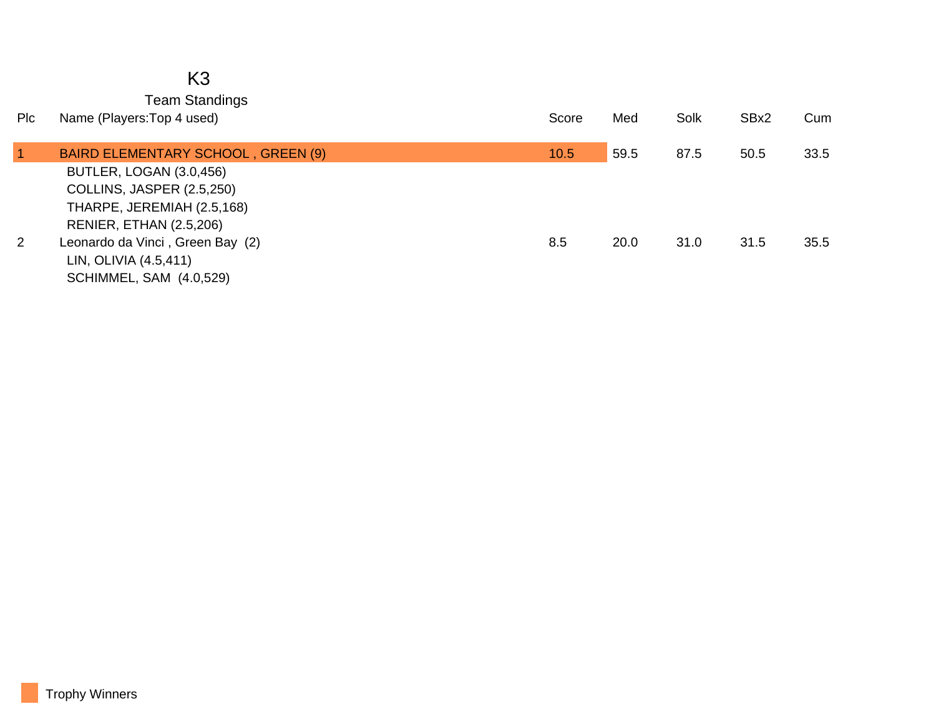|                | K <sub>3</sub><br><b>Team Standings</b>                            |       |      |      |      |      |
|----------------|--------------------------------------------------------------------|-------|------|------|------|------|
| Plc            | Name (Players: Top 4 used)                                         | Score | Med  | Solk | SBx2 | Cum  |
| $\overline{1}$ | BAIRD ELEMENTARY SCHOOL, GREEN (9)<br>BUTLER, LOGAN (3.0,456)      | 10.5  | 59.5 | 87.5 | 50.5 | 33.5 |
|                | COLLINS, JASPER (2.5,250)<br>THARPE, JEREMIAH (2.5,168)            |       |      |      |      |      |
| $\overline{2}$ | <b>RENIER, ETHAN (2.5,206)</b><br>Leonardo da Vinci, Green Bay (2) | 8.5   | 20.0 | 31.0 | 31.5 | 35.5 |
|                | LIN, OLIVIA (4.5,411)<br><b>SCHIMMEL, SAM (4.0,529)</b>            |       |      |      |      |      |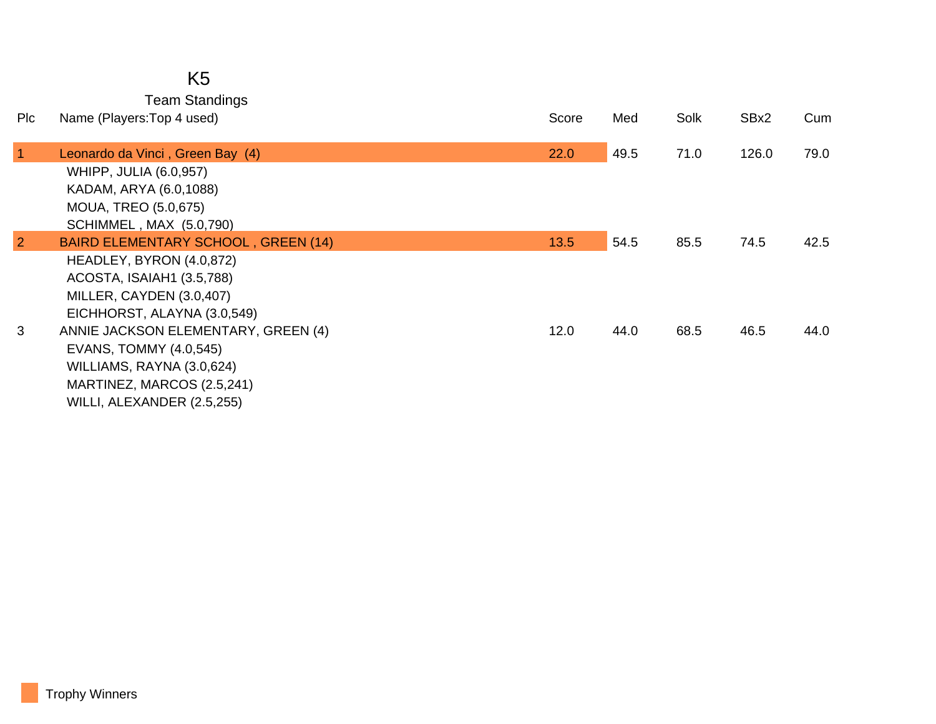Team Standings

| <b>PIC</b>     | Name (Players: Top 4 used)                                                                                                                                                                                                                                                 | Score | Med  | Solk | SBx2  | Cum  |
|----------------|----------------------------------------------------------------------------------------------------------------------------------------------------------------------------------------------------------------------------------------------------------------------------|-------|------|------|-------|------|
| $\mathbf{1}$   | Leonardo da Vinci, Green Bay (4)<br><b>WHIPP, JULIA (6.0,957)</b><br>KADAM, ARYA (6.0,1088)<br><b>MOUA, TREO (5.0,675)</b><br><b>SCHIMMEL, MAX (5.0,790)</b>                                                                                                               | 22.0  | 49.5 | 71.0 | 126.0 | 79.0 |
| $\overline{2}$ | BAIRD ELEMENTARY SCHOOL, GREEN (14)                                                                                                                                                                                                                                        | 13.5  | 54.5 | 85.5 | 74.5  | 42.5 |
| 3              | HEADLEY, BYRON (4.0,872)<br>ACOSTA, ISAIAH1 (3.5,788)<br>MILLER, CAYDEN (3.0,407)<br>EICHHORST, ALAYNA (3.0,549)<br>ANNIE JACKSON ELEMENTARY, GREEN (4)<br>EVANS, TOMMY (4.0,545)<br>WILLIAMS, RAYNA (3.0,624)<br>MARTINEZ, MARCOS (2.5,241)<br>WILLI, ALEXANDER (2.5,255) | 12.0  | 44.0 | 68.5 | 46.5  | 44.0 |